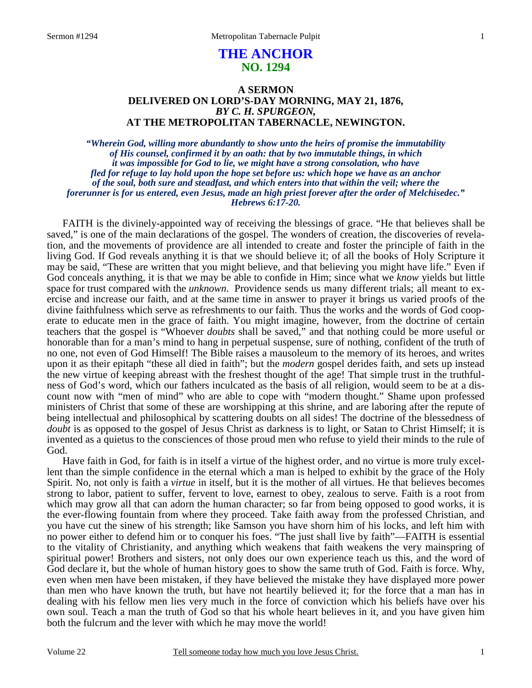# **THE ANCHOR NO. 1294**

## **A SERMON DELIVERED ON LORD'S-DAY MORNING, MAY 21, 1876,**  *BY C. H. SPURGEON,*  **AT THE METROPOLITAN TABERNACLE, NEWINGTON.**

*"Wherein God, willing more abundantly to show unto the heirs of promise the immutability of His counsel, confirmed it by an oath: that by two immutable things, in which it was impossible for God to lie, we might have a strong consolation, who have fled for refuge to lay hold upon the hope set before us: which hope we have as an anchor of the soul, both sure and steadfast, and which enters into that within the veil; where the forerunner is for us entered, even Jesus, made an high priest forever after the order of Melchisedec." Hebrews 6:17-20.* 

FAITH is the divinely-appointed way of receiving the blessings of grace. "He that believes shall be saved," is one of the main declarations of the gospel. The wonders of creation, the discoveries of revelation, and the movements of providence are all intended to create and foster the principle of faith in the living God. If God reveals anything it is that we should believe it; of all the books of Holy Scripture it may be said, "These are written that you might believe, and that believing you might have life." Even if God conceals anything, it is that we may be able to confide in Him; since what we *know* yields but little space for trust compared with the *unknown*. Providence sends us many different trials; all meant to exercise and increase our faith, and at the same time in answer to prayer it brings us varied proofs of the divine faithfulness which serve as refreshments to our faith. Thus the works and the words of God cooperate to educate men in the grace of faith. You might imagine, however, from the doctrine of certain teachers that the gospel is "Whoever *doubts* shall be saved," and that nothing could be more useful or honorable than for a man's mind to hang in perpetual suspense, sure of nothing, confident of the truth of no one, not even of God Himself! The Bible raises a mausoleum to the memory of its heroes, and writes upon it as their epitaph "these all died in faith"; but the *modern* gospel derides faith, and sets up instead the new virtue of keeping abreast with the freshest thought of the age! That simple trust in the truthfulness of God's word, which our fathers inculcated as the basis of all religion, would seem to be at a discount now with "men of mind" who are able to cope with "modern thought." Shame upon professed ministers of Christ that some of these are worshipping at this shrine, and are laboring after the repute of being intellectual and philosophical by scattering doubts on all sides! The doctrine of the blessedness of *doubt* is as opposed to the gospel of Jesus Christ as darkness is to light, or Satan to Christ Himself; it is invented as a quietus to the consciences of those proud men who refuse to yield their minds to the rule of God.

 Have faith in God, for faith is in itself a virtue of the highest order, and no virtue is more truly excellent than the simple confidence in the eternal which a man is helped to exhibit by the grace of the Holy Spirit. No, not only is faith a *virtue* in itself, but it is the mother of all virtues. He that believes becomes strong to labor, patient to suffer, fervent to love, earnest to obey, zealous to serve. Faith is a root from which may grow all that can adorn the human character; so far from being opposed to good works, it is the ever-flowing fountain from where they proceed. Take faith away from the professed Christian, and you have cut the sinew of his strength; like Samson you have shorn him of his locks, and left him with no power either to defend him or to conquer his foes. "The just shall live by faith"—FAITH is essential to the vitality of Christianity, and anything which weakens that faith weakens the very mainspring of spiritual power! Brothers and sisters, not only does our own experience teach us this, and the word of God declare it, but the whole of human history goes to show the same truth of God. Faith is force. Why, even when men have been mistaken, if they have believed the mistake they have displayed more power than men who have known the truth, but have not heartily believed it; for the force that a man has in dealing with his fellow men lies very much in the force of conviction which his beliefs have over his own soul. Teach a man the truth of God so that his whole heart believes in it, and you have given him both the fulcrum and the lever with which he may move the world!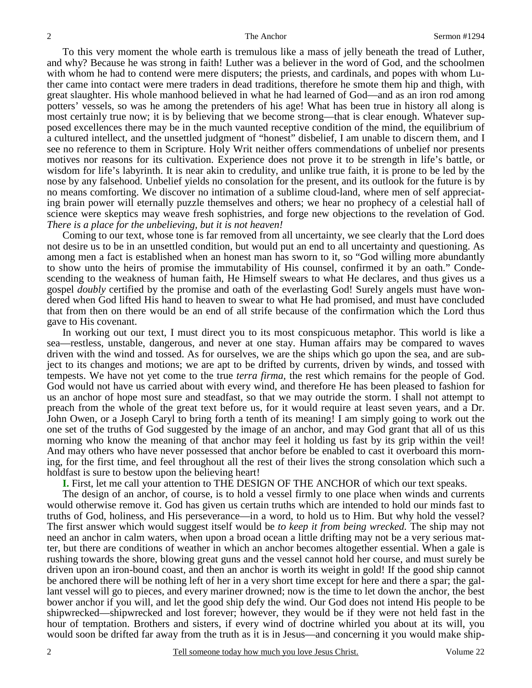To this very moment the whole earth is tremulous like a mass of jelly beneath the tread of Luther, and why? Because he was strong in faith! Luther was a believer in the word of God, and the schoolmen with whom he had to contend were mere disputers; the priests, and cardinals, and popes with whom Luther came into contact were mere traders in dead traditions, therefore he smote them hip and thigh, with great slaughter. His whole manhood believed in what he had learned of God—and as an iron rod among potters' vessels, so was he among the pretenders of his age! What has been true in history all along is most certainly true now; it is by believing that we become strong—that is clear enough. Whatever supposed excellences there may be in the much vaunted receptive condition of the mind, the equilibrium of a cultured intellect, and the unsettled judgment of "honest" disbelief, I am unable to discern them, and I see no reference to them in Scripture. Holy Writ neither offers commendations of unbelief nor presents motives nor reasons for its cultivation. Experience does not prove it to be strength in life's battle, or wisdom for life's labyrinth. It is near akin to credulity, and unlike true faith, it is prone to be led by the nose by any falsehood. Unbelief yields no consolation for the present, and its outlook for the future is by no means comforting. We discover no intimation of a sublime cloud-land, where men of self appreciating brain power will eternally puzzle themselves and others; we hear no prophecy of a celestial hall of science were skeptics may weave fresh sophistries, and forge new objections to the revelation of God. *There is a place for the unbelieving, but it is not heaven!*

 Coming to our text, whose tone is far removed from all uncertainty, we see clearly that the Lord does not desire us to be in an unsettled condition, but would put an end to all uncertainty and questioning. As among men a fact is established when an honest man has sworn to it, so "God willing more abundantly to show unto the heirs of promise the immutability of His counsel, confirmed it by an oath." Condescending to the weakness of human faith, He Himself swears to what He declares, and thus gives us a gospel *doubly* certified by the promise and oath of the everlasting God! Surely angels must have wondered when God lifted His hand to heaven to swear to what He had promised, and must have concluded that from then on there would be an end of all strife because of the confirmation which the Lord thus gave to His covenant.

 In working out our text, I must direct you to its most conspicuous metaphor. This world is like a sea—restless, unstable, dangerous, and never at one stay. Human affairs may be compared to waves driven with the wind and tossed. As for ourselves, we are the ships which go upon the sea, and are subject to its changes and motions; we are apt to be drifted by currents, driven by winds, and tossed with tempests. We have not yet come to the true *terra firma,* the rest which remains for the people of God. God would not have us carried about with every wind, and therefore He has been pleased to fashion for us an anchor of hope most sure and steadfast, so that we may outride the storm. I shall not attempt to preach from the whole of the great text before us, for it would require at least seven years, and a Dr. John Owen, or a Joseph Caryl to bring forth a tenth of its meaning! I am simply going to work out the one set of the truths of God suggested by the image of an anchor, and may God grant that all of us this morning who know the meaning of that anchor may feel it holding us fast by its grip within the veil! And may others who have never possessed that anchor before be enabled to cast it overboard this morning, for the first time, and feel throughout all the rest of their lives the strong consolation which such a holdfast is sure to bestow upon the believing heart!

**I.** First, let me call your attention to THE DESIGN OF THE ANCHOR of which our text speaks.

 The design of an anchor, of course, is to hold a vessel firmly to one place when winds and currents would otherwise remove it. God has given us certain truths which are intended to hold our minds fast to truths of God, holiness, and His perseverance—in a word, to hold us to Him. But why hold the vessel? The first answer which would suggest itself would be *to keep it from being wrecked.* The ship may not need an anchor in calm waters, when upon a broad ocean a little drifting may not be a very serious matter, but there are conditions of weather in which an anchor becomes altogether essential. When a gale is rushing towards the shore, blowing great guns and the vessel cannot hold her course, and must surely be driven upon an iron-bound coast, and then an anchor is worth its weight in gold! If the good ship cannot be anchored there will be nothing left of her in a very short time except for here and there a spar; the gallant vessel will go to pieces, and every mariner drowned; now is the time to let down the anchor, the best bower anchor if you will, and let the good ship defy the wind. Our God does not intend His people to be shipwrecked—shipwrecked and lost forever; however, they would be if they were not held fast in the hour of temptation. Brothers and sisters, if every wind of doctrine whirled you about at its will, you would soon be drifted far away from the truth as it is in Jesus—and concerning it you would make ship-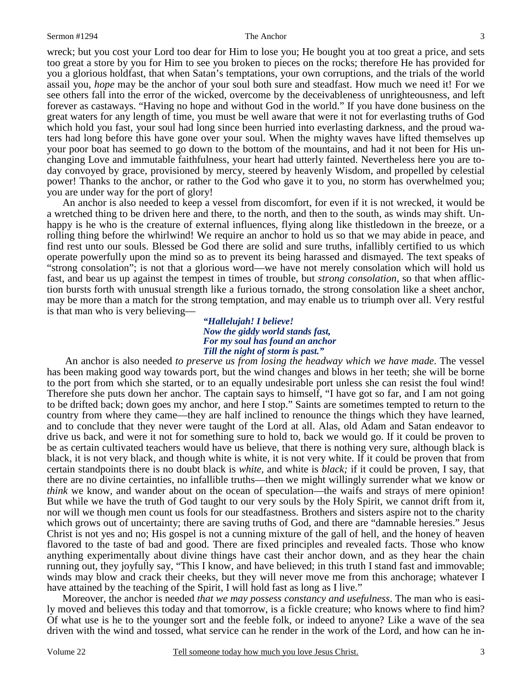wreck; but you cost your Lord too dear for Him to lose you; He bought you at too great a price, and sets too great a store by you for Him to see you broken to pieces on the rocks; therefore He has provided for you a glorious holdfast, that when Satan's temptations, your own corruptions, and the trials of the world assail you, *hope* may be the anchor of your soul both sure and steadfast. How much we need it! For we see others fall into the error of the wicked, overcome by the deceivableness of unrighteousness, and left forever as castaways. "Having no hope and without God in the world." If you have done business on the great waters for any length of time, you must be well aware that were it not for everlasting truths of God which hold you fast, your soul had long since been hurried into everlasting darkness, and the proud waters had long before this have gone over your soul. When the mighty waves have lifted themselves up your poor boat has seemed to go down to the bottom of the mountains, and had it not been for His unchanging Love and immutable faithfulness, your heart had utterly fainted. Nevertheless here you are today convoyed by grace, provisioned by mercy, steered by heavenly Wisdom, and propelled by celestial power! Thanks to the anchor, or rather to the God who gave it to you, no storm has overwhelmed you; you are under way for the port of glory!

 An anchor is also needed to keep a vessel from discomfort, for even if it is not wrecked, it would be a wretched thing to be driven here and there, to the north, and then to the south, as winds may shift. Unhappy is he who is the creature of external influences, flying along like thistledown in the breeze, or a rolling thing before the whirlwind! We require an anchor to hold us so that we may abide in peace, and find rest unto our souls. Blessed be God there are solid and sure truths, infallibly certified to us which operate powerfully upon the mind so as to prevent its being harassed and dismayed. The text speaks of "strong consolation"; is not that a glorious word—we have not merely consolation which will hold us fast, and bear us up against the tempest in times of trouble, but *strong consolation,* so that when affliction bursts forth with unusual strength like a furious tornado, the strong consolation like a sheet anchor, may be more than a match for the strong temptation, and may enable us to triumph over all. Very restful is that man who is very believing—

### *"Hallelujah! I believe! Now the giddy world stands fast, For my soul has found an anchor Till the night of storm is past."*

 An anchor is also needed *to preserve us from losing the headway which we have made*. The vessel has been making good way towards port, but the wind changes and blows in her teeth; she will be borne to the port from which she started, or to an equally undesirable port unless she can resist the foul wind! Therefore she puts down her anchor. The captain says to himself, "I have got so far, and I am not going to be drifted back; down goes my anchor, and here I stop." Saints are sometimes tempted to return to the country from where they came—they are half inclined to renounce the things which they have learned, and to conclude that they never were taught of the Lord at all. Alas, old Adam and Satan endeavor to drive us back, and were it not for something sure to hold to, back we would go. If it could be proven to be as certain cultivated teachers would have us believe, that there is nothing very sure, although black is black, it is not very black, and though white is white, it is not very white. If it could be proven that from certain standpoints there is no doubt black is *white,* and white is *black;* if it could be proven, I say, that there are no divine certainties, no infallible truths—then we might willingly surrender what we know or *think* we know, and wander about on the ocean of speculation—the waifs and strays of mere opinion! But while we have the truth of God taught to our very souls by the Holy Spirit, we cannot drift from it, nor will we though men count us fools for our steadfastness. Brothers and sisters aspire not to the charity which grows out of uncertainty; there are saving truths of God, and there are "damnable heresies." Jesus Christ is not yes and no; His gospel is not a cunning mixture of the gall of hell, and the honey of heaven flavored to the taste of bad and good. There are fixed principles and revealed facts. Those who know anything experimentally about divine things have cast their anchor down, and as they hear the chain running out, they joyfully say, "This I know, and have believed; in this truth I stand fast and immovable; winds may blow and crack their cheeks, but they will never move me from this anchorage; whatever I have attained by the teaching of the Spirit, I will hold fast as long as I live."

 Moreover, the anchor is needed *that we may possess constancy and usefulness*. The man who is easily moved and believes this today and that tomorrow, is a fickle creature; who knows where to find him? Of what use is he to the younger sort and the feeble folk, or indeed to anyone? Like a wave of the sea driven with the wind and tossed, what service can he render in the work of the Lord, and how can he in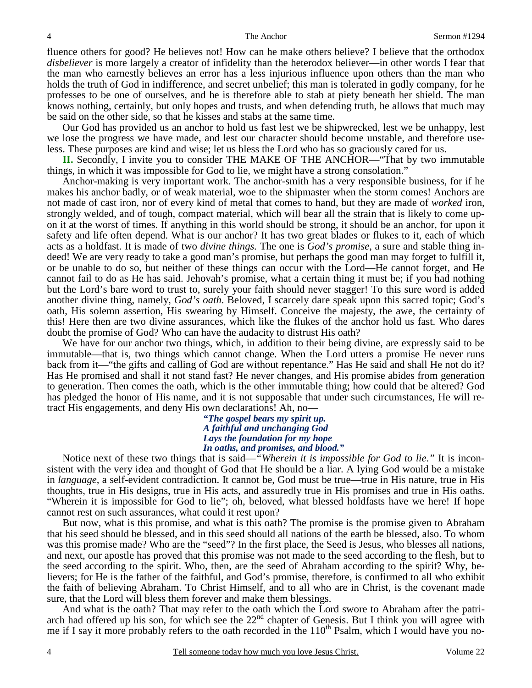fluence others for good? He believes not! How can he make others believe? I believe that the orthodox *disbeliever* is more largely a creator of infidelity than the heterodox believer—in other words I fear that the man who earnestly believes an error has a less injurious influence upon others than the man who holds the truth of God in indifference, and secret unbelief; this man is tolerated in godly company, for he professes to be one of ourselves, and he is therefore able to stab at piety beneath her shield. The man knows nothing, certainly, but only hopes and trusts, and when defending truth, he allows that much may be said on the other side, so that he kisses and stabs at the same time.

 Our God has provided us an anchor to hold us fast lest we be shipwrecked, lest we be unhappy, lest we lose the progress we have made, and lest our character should become unstable, and therefore useless. These purposes are kind and wise; let us bless the Lord who has so graciously cared for us.

**II.** Secondly, I invite you to consider THE MAKE OF THE ANCHOR—"That by two immutable things, in which it was impossible for God to lie, we might have a strong consolation."

 Anchor-making is very important work. The anchor-smith has a very responsible business, for if he makes his anchor badly, or of weak material, woe to the shipmaster when the storm comes! Anchors are not made of cast iron, nor of every kind of metal that comes to hand, but they are made of *worked* iron, strongly welded, and of tough, compact material, which will bear all the strain that is likely to come upon it at the worst of times. If anything in this world should be strong, it should be an anchor, for upon it safety and life often depend. What is our anchor? It has two great blades or flukes to it, each of which acts as a holdfast. It is made of two *divine things.* The one is *God's promise*, a sure and stable thing indeed! We are very ready to take a good man's promise, but perhaps the good man may forget to fulfill it, or be unable to do so, but neither of these things can occur with the Lord—He cannot forget, and He cannot fail to do as He has said. Jehovah's promise, what a certain thing it must be; if you had nothing but the Lord's bare word to trust to, surely your faith should never stagger! To this sure word is added another divine thing, namely, *God's oath*. Beloved, I scarcely dare speak upon this sacred topic; God's oath, His solemn assertion, His swearing by Himself. Conceive the majesty, the awe, the certainty of this! Here then are two divine assurances, which like the flukes of the anchor hold us fast. Who dares doubt the promise of God? Who can have the audacity to distrust His oath?

 We have for our anchor two things, which, in addition to their being divine, are expressly said to be immutable—that is, two things which cannot change. When the Lord utters a promise He never runs back from it—"the gifts and calling of God are without repentance." Has He said and shall He not do it? Has He promised and shall it not stand fast? He never changes, and His promise abides from generation to generation. Then comes the oath, which is the other immutable thing; how could that be altered? God has pledged the honor of His name, and it is not supposable that under such circumstances, He will retract His engagements, and deny His own declarations! Ah, no—

> *"The gospel bears my spirit up. A faithful and unchanging God Lays the foundation for my hope In oaths, and promises, and blood."*

Notice next of these two things that is said—*"Wherein it is impossible for God to lie*.*"* It is inconsistent with the very idea and thought of God that He should be a liar. A lying God would be a mistake in *language,* a self-evident contradiction. It cannot be, God must be true—true in His nature, true in His thoughts, true in His designs, true in His acts, and assuredly true in His promises and true in His oaths. "Wherein it is impossible for God to lie"; oh, beloved, what blessed holdfasts have we here! If hope cannot rest on such assurances, what could it rest upon?

But now, what is this promise, and what is this oath? The promise is the promise given to Abraham that his seed should be blessed, and in this seed should all nations of the earth be blessed, also. To whom was this promise made? Who are the "seed"? In the first place, the Seed is Jesus, who blesses all nations, and next, our apostle has proved that this promise was not made to the seed according to the flesh, but to the seed according to the spirit. Who, then, are the seed of Abraham according to the spirit? Why, believers; for He is the father of the faithful, and God's promise, therefore, is confirmed to all who exhibit the faith of believing Abraham. To Christ Himself, and to all who are in Christ, is the covenant made sure, that the Lord will bless them forever and make them blessings.

 And what is the oath? That may refer to the oath which the Lord swore to Abraham after the patriarch had offered up his son, for which see the  $22<sup>nd</sup>$  chapter of Genesis. But I think you will agree with me if I say it more probably refers to the oath recorded in the  $110<sup>th</sup>$  Psalm, which I would have you no-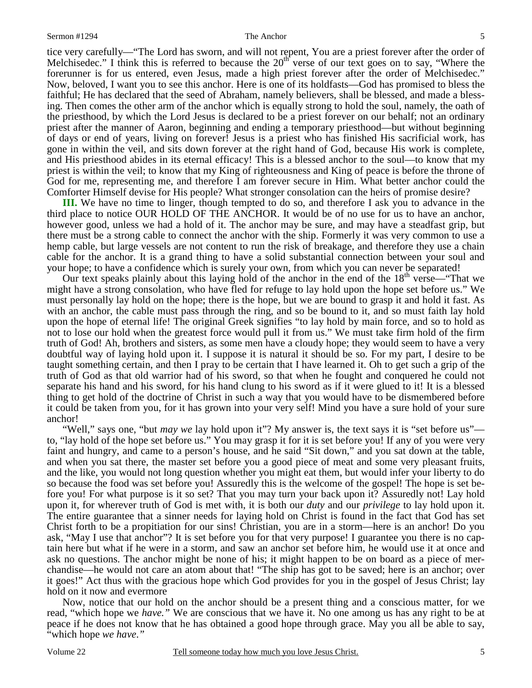tice very carefully—"The Lord has sworn, and will not repent, You are a priest forever after the order of Melchisedec." I think this is referred to because the  $20<sup>th</sup>$  verse of our text goes on to say, "Where the forerunner is for us entered, even Jesus, made a high priest forever after the order of Melchisedec." Now, beloved, I want you to see this anchor. Here is one of its holdfasts—God has promised to bless the faithful; He has declared that the seed of Abraham, namely believers, shall be blessed, and made a blessing. Then comes the other arm of the anchor which is equally strong to hold the soul, namely, the oath of the priesthood, by which the Lord Jesus is declared to be a priest forever on our behalf; not an ordinary priest after the manner of Aaron, beginning and ending a temporary priesthood—but without beginning of days or end of years, living on forever! Jesus is a priest who has finished His sacrificial work, has gone in within the veil, and sits down forever at the right hand of God, because His work is complete, and His priesthood abides in its eternal efficacy! This is a blessed anchor to the soul—to know that my priest is within the veil; to know that my King of righteousness and King of peace is before the throne of God for me, representing me, and therefore I am forever secure in Him. What better anchor could the Comforter Himself devise for His people? What stronger consolation can the heirs of promise desire?

**III.** We have no time to linger, though tempted to do so, and therefore I ask you to advance in the third place to notice OUR HOLD OF THE ANCHOR. It would be of no use for us to have an anchor, however good, unless we had a hold of it. The anchor may be sure, and may have a steadfast grip, but there must be a strong cable to connect the anchor with the ship. Formerly it was very common to use a hemp cable, but large vessels are not content to run the risk of breakage, and therefore they use a chain cable for the anchor. It is a grand thing to have a solid substantial connection between your soul and your hope; to have a confidence which is surely your own, from which you can never be separated!

Our text speaks plainly about this laying hold of the anchor in the end of the 18<sup>th</sup> verse—"That we might have a strong consolation, who have fled for refuge to lay hold upon the hope set before us." We must personally lay hold on the hope; there is the hope, but we are bound to grasp it and hold it fast. As with an anchor, the cable must pass through the ring, and so be bound to it, and so must faith lay hold upon the hope of eternal life! The original Greek signifies "to lay hold by main force, and so to hold as not to lose our hold when the greatest force would pull it from us." We must take firm hold of the firm truth of God! Ah, brothers and sisters, as some men have a cloudy hope; they would seem to have a very doubtful way of laying hold upon it. I suppose it is natural it should be so. For my part, I desire to be taught something certain, and then I pray to be certain that I have learned it. Oh to get such a grip of the truth of God as that old warrior had of his sword, so that when he fought and conquered he could not separate his hand and his sword, for his hand clung to his sword as if it were glued to it! It is a blessed thing to get hold of the doctrine of Christ in such a way that you would have to be dismembered before it could be taken from you, for it has grown into your very self! Mind you have a sure hold of your sure anchor!

 "Well," says one, "but *may we* lay hold upon it"? My answer is, the text says it is "set before us" to, "lay hold of the hope set before us." You may grasp it for it is set before you! If any of you were very faint and hungry, and came to a person's house, and he said "Sit down," and you sat down at the table, and when you sat there, the master set before you a good piece of meat and some very pleasant fruits, and the like, you would not long question whether you might eat them, but would infer your liberty to do so because the food was set before you! Assuredly this is the welcome of the gospel! The hope is set before you! For what purpose is it so set? That you may turn your back upon it? Assuredly not! Lay hold upon it, for wherever truth of God is met with, it is both our *duty* and our *privilege* to lay hold upon it. The entire guarantee that a sinner needs for laying hold on Christ is found in the fact that God has set Christ forth to be a propitiation for our sins! Christian, you are in a storm—here is an anchor! Do you ask, "May I use that anchor"? It is set before you for that very purpose! I guarantee you there is no captain here but what if he were in a storm, and saw an anchor set before him, he would use it at once and ask no questions. The anchor might be none of his; it might happen to be on board as a piece of merchandise—he would not care an atom about that! "The ship has got to be saved; here is an anchor; over it goes!" Act thus with the gracious hope which God provides for you in the gospel of Jesus Christ; lay hold on it now and evermore

 Now, notice that our hold on the anchor should be a present thing and a conscious matter, for we read, "which hope we *have."* We are conscious that we have it. No one among us has any right to be at peace if he does not know that he has obtained a good hope through grace. May you all be able to say, "which hope *we have*.*"*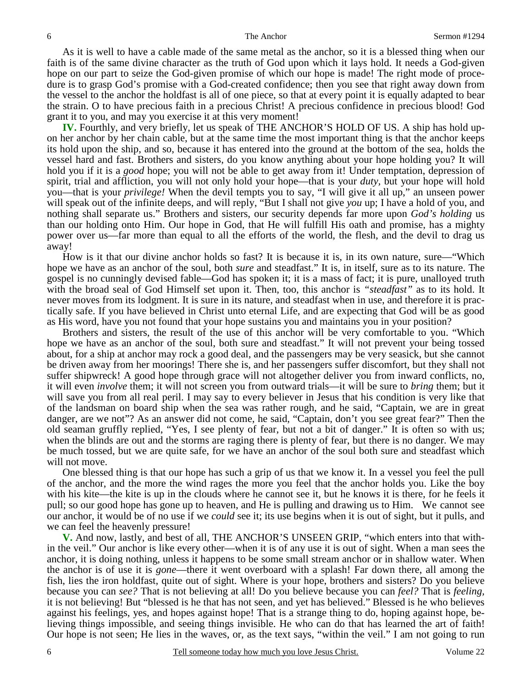As it is well to have a cable made of the same metal as the anchor, so it is a blessed thing when our faith is of the same divine character as the truth of God upon which it lays hold. It needs a God-given hope on our part to seize the God-given promise of which our hope is made! The right mode of procedure is to grasp God's promise with a God-created confidence; then you see that right away down from the vessel to the anchor the holdfast is all of one piece, so that at every point it is equally adapted to bear the strain. O to have precious faith in a precious Christ! A precious confidence in precious blood! God grant it to you, and may you exercise it at this very moment!

**IV.** Fourthly, and very briefly, let us speak of THE ANCHOR'S HOLD OF US. A ship has hold upon her anchor by her chain cable, but at the same time the most important thing is that the anchor keeps its hold upon the ship, and so, because it has entered into the ground at the bottom of the sea, holds the vessel hard and fast. Brothers and sisters, do you know anything about your hope holding you? It will hold you if it is a *good* hope; you will not be able to get away from it! Under temptation, depression of spirit, trial and affliction, you will not only hold your hope—that is your *duty,* but your hope will hold you—that is your *privilege!* When the devil tempts you to say, "I will give it all up," an unseen power will speak out of the infinite deeps, and will reply, "But I shall not give *you* up; I have a hold of you, and nothing shall separate us." Brothers and sisters, our security depends far more upon *God's holding* us than our holding onto Him. Our hope in God, that He will fulfill His oath and promise, has a mighty power over us—far more than equal to all the efforts of the world, the flesh, and the devil to drag us away!

 How is it that our divine anchor holds so fast? It is because it is, in its own nature, sure—"Which hope we have as an anchor of the soul, both *sure* and steadfast." It is, in itself, sure as to its nature. The gospel is no cunningly devised fable—God has spoken it; it is a mass of fact; it is pure, unalloyed truth with the broad seal of God Himself set upon it. Then, too, this anchor is *"steadfast"* as to its hold. It never moves from its lodgment. It is sure in its nature, and steadfast when in use, and therefore it is practically safe. If you have believed in Christ unto eternal Life, and are expecting that God will be as good as His word, have you not found that your hope sustains you and maintains you in your position?

 Brothers and sisters, the result of the use of this anchor will be very comfortable to you. "Which hope we have as an anchor of the soul, both sure and steadfast." It will not prevent your being tossed about, for a ship at anchor may rock a good deal, and the passengers may be very seasick, but she cannot be driven away from her moorings! There she is, and her passengers suffer discomfort, but they shall not suffer shipwreck! A good hope through grace will not altogether deliver you from inward conflicts, no, it will even *involve* them; it will not screen you from outward trials—it will be sure to *bring* them; but it will save you from all real peril. I may say to every believer in Jesus that his condition is very like that of the landsman on board ship when the sea was rather rough, and he said, "Captain, we are in great danger, are we not"? As an answer did not come, he said, "Captain, don't you see great fear?" Then the old seaman gruffly replied, "Yes, I see plenty of fear, but not a bit of danger." It is often so with us; when the blinds are out and the storms are raging there is plenty of fear, but there is no danger. We may be much tossed, but we are quite safe, for we have an anchor of the soul both sure and steadfast which will not move.

 One blessed thing is that our hope has such a grip of us that we know it. In a vessel you feel the pull of the anchor, and the more the wind rages the more you feel that the anchor holds you. Like the boy with his kite—the kite is up in the clouds where he cannot see it, but he knows it is there, for he feels it pull; so our good hope has gone up to heaven, and He is pulling and drawing us to Him. We cannot see our anchor, it would be of no use if we *could* see it; its use begins when it is out of sight, but it pulls, and we can feel the heavenly pressure!

**V.** And now, lastly, and best of all, THE ANCHOR'S UNSEEN GRIP, "which enters into that within the veil." Our anchor is like every other—when it is of any use it is out of sight. When a man sees the anchor, it is doing nothing, unless it happens to be some small stream anchor or in shallow water. When the anchor is of use it is *gone*—there it went overboard with a splash! Far down there, all among the fish, lies the iron holdfast, quite out of sight. Where is your hope, brothers and sisters? Do you believe because you can *see?* That is not believing at all! Do you believe because you can *feel?* That is *feeling,* it is not believing! But "blessed is he that has not seen, and yet has believed." Blessed is he who believes against his feelings, yes, and hopes against hope! That is a strange thing to do, hoping against hope, believing things impossible, and seeing things invisible. He who can do that has learned the art of faith! Our hope is not seen; He lies in the waves, or, as the text says, "within the veil." I am not going to run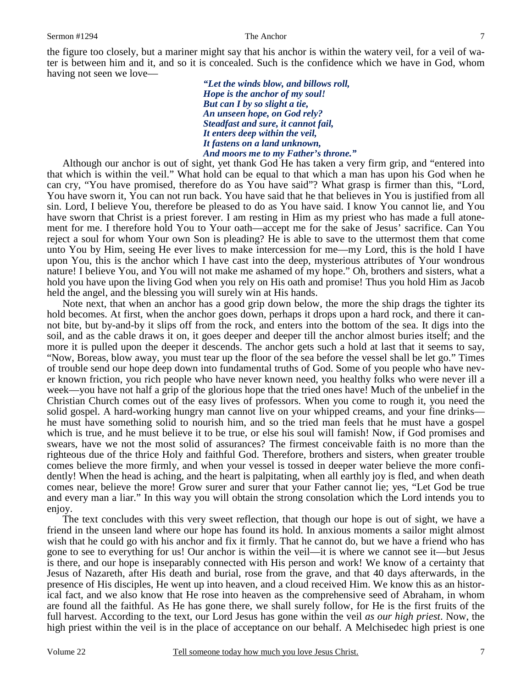the figure too closely, but a mariner might say that his anchor is within the watery veil, for a veil of water is between him and it, and so it is concealed. Such is the confidence which we have in God, whom having not seen we love—

> *"Let the winds blow, and billows roll, Hope is the anchor of my soul! But can I by so slight a tie, An unseen hope, on God rely? Steadfast and sure, it cannot fail, It enters deep within the veil, It fastens on a land unknown, And moors me to my Father's throne."*

 Although our anchor is out of sight, yet thank God He has taken a very firm grip, and "entered into that which is within the veil." What hold can be equal to that which a man has upon his God when he can cry, "You have promised, therefore do as You have said"? What grasp is firmer than this, "Lord, You have sworn it, You can not run back. You have said that he that believes in You is justified from all sin. Lord, I believe You, therefore be pleased to do as You have said. I know You cannot lie, and You have sworn that Christ is a priest forever. I am resting in Him as my priest who has made a full atonement for me. I therefore hold You to Your oath—accept me for the sake of Jesus' sacrifice. Can You reject a soul for whom Your own Son is pleading? He is able to save to the uttermost them that come unto You by Him, seeing He ever lives to make intercession for me—my Lord, this is the hold I have upon You, this is the anchor which I have cast into the deep, mysterious attributes of Your wondrous nature! I believe You, and You will not make me ashamed of my hope." Oh, brothers and sisters, what a hold you have upon the living God when you rely on His oath and promise! Thus you hold Him as Jacob held the angel, and the blessing you will surely win at His hands.

 Note next, that when an anchor has a good grip down below, the more the ship drags the tighter its hold becomes. At first, when the anchor goes down, perhaps it drops upon a hard rock, and there it cannot bite, but by-and-by it slips off from the rock, and enters into the bottom of the sea. It digs into the soil, and as the cable draws it on, it goes deeper and deeper till the anchor almost buries itself; and the more it is pulled upon the deeper it descends. The anchor gets such a hold at last that it seems to say, "Now, Boreas, blow away, you must tear up the floor of the sea before the vessel shall be let go." Times of trouble send our hope deep down into fundamental truths of God. Some of you people who have never known friction, you rich people who have never known need, you healthy folks who were never ill a week—you have not half a grip of the glorious hope that the tried ones have! Much of the unbelief in the Christian Church comes out of the easy lives of professors. When you come to rough it, you need the solid gospel. A hard-working hungry man cannot live on your whipped creams, and your fine drinks he must have something solid to nourish him, and so the tried man feels that he must have a gospel which is true, and he must believe it to be true, or else his soul will famish! Now, if God promises and swears, have we not the most solid of assurances? The firmest conceivable faith is no more than the righteous due of the thrice Holy and faithful God. Therefore, brothers and sisters, when greater trouble comes believe the more firmly, and when your vessel is tossed in deeper water believe the more confidently! When the head is aching, and the heart is palpitating, when all earthly joy is fled, and when death comes near, believe the more! Grow surer and surer that your Father cannot lie; yes, "Let God be true and every man a liar." In this way you will obtain the strong consolation which the Lord intends you to enjoy.

 The text concludes with this very sweet reflection, that though our hope is out of sight, we have a friend in the unseen land where our hope has found its hold. In anxious moments a sailor might almost wish that he could go with his anchor and fix it firmly. That he cannot do, but we have a friend who has gone to see to everything for us! Our anchor is within the veil—it is where we cannot see it—but Jesus is there, and our hope is inseparably connected with His person and work! We know of a certainty that Jesus of Nazareth, after His death and burial, rose from the grave, and that 40 days afterwards, in the presence of His disciples, He went up into heaven, and a cloud received Him. We know this as an historical fact, and we also know that He rose into heaven as the comprehensive seed of Abraham, in whom are found all the faithful. As He has gone there, we shall surely follow, for He is the first fruits of the full harvest. According to the text, our Lord Jesus has gone within the veil *as our high priest*. Now, the high priest within the veil is in the place of acceptance on our behalf. A Melchisedec high priest is one